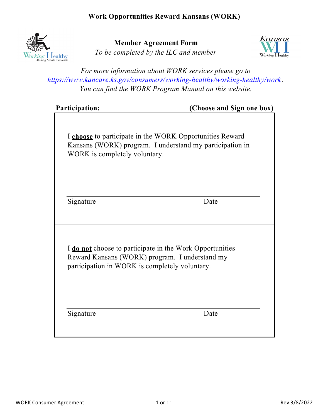

**Member Agreement Form** *To be completed by the ILC and member*



*For more information about WORK services please go to https://www.kancare.ks.gov/consumers/working-healthy/working-healthy/work . You can find the WORK Program Manual on this website.*

**(Choose and Sign one box)** 

I **choose** to participate in the WORK Opportunities Reward Kansans (WORK) program. I understand my participation in WORK is completely voluntary.

Signature Date

I **do not** choose to participate in the Work Opportunities Reward Kansans (WORK) program. I understand my participation in WORK is completely voluntary.

Signature Date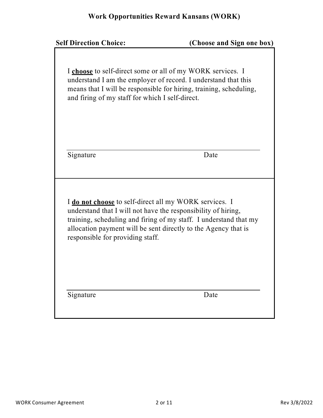| <b>Self Direction Choice:</b>                                                                                                                                                                                                 | (Choose and Sign one box)                                                                                                            |
|-------------------------------------------------------------------------------------------------------------------------------------------------------------------------------------------------------------------------------|--------------------------------------------------------------------------------------------------------------------------------------|
| I choose to self-direct some or all of my WORK services. I<br>and firing of my staff for which I self-direct.                                                                                                                 | understand I am the employer of record. I understand that this<br>means that I will be responsible for hiring, training, scheduling, |
| Signature                                                                                                                                                                                                                     | Date                                                                                                                                 |
| I do not choose to self-direct all my WORK services. I<br>understand that I will not have the responsibility of hiring,<br>allocation payment will be sent directly to the Agency that is<br>responsible for providing staff. | training, scheduling and firing of my staff. I understand that my                                                                    |
| Signature                                                                                                                                                                                                                     | Date                                                                                                                                 |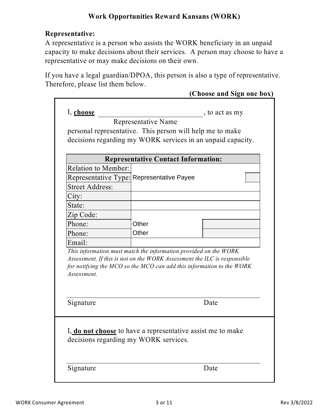### **Representative:**

A representative is a person who assists the WORK beneficiary in an unpaid capacity to make decisions about their services. A person may choose to have a representative or may make decisions on their own.

If you have a legal guardian/DPOA, this person is also a type of representative. Therefore, please list them below.

|                            |                                                                                                                                                                                                                       | (Choose and Sign one box) |
|----------------------------|-----------------------------------------------------------------------------------------------------------------------------------------------------------------------------------------------------------------------|---------------------------|
| I, choose                  |                                                                                                                                                                                                                       | , to act as my            |
|                            | Representative Name                                                                                                                                                                                                   |                           |
|                            | personal representative. This person will help me to make                                                                                                                                                             |                           |
|                            | decisions regarding my WORK services in an unpaid capacity.                                                                                                                                                           |                           |
|                            |                                                                                                                                                                                                                       |                           |
|                            | <b>Representative Contact Information:</b>                                                                                                                                                                            |                           |
| <b>Relation to Member:</b> | Representative Type: Representative Payee                                                                                                                                                                             |                           |
|                            |                                                                                                                                                                                                                       |                           |
| <b>Street Address:</b>     |                                                                                                                                                                                                                       |                           |
| City:                      |                                                                                                                                                                                                                       |                           |
| State:                     |                                                                                                                                                                                                                       |                           |
| Zip Code:                  |                                                                                                                                                                                                                       |                           |
| Phone:                     | Other                                                                                                                                                                                                                 |                           |
| Phone:                     | Other                                                                                                                                                                                                                 |                           |
| Email:                     |                                                                                                                                                                                                                       |                           |
| Assessment.                | This information must match the information provided on the WORK<br>Assessment. If this is not on the WORK Assessment the ILC is responsible<br>for notifying the MCO so the MCO can add this information to the WORK |                           |
| Signature                  |                                                                                                                                                                                                                       | Date                      |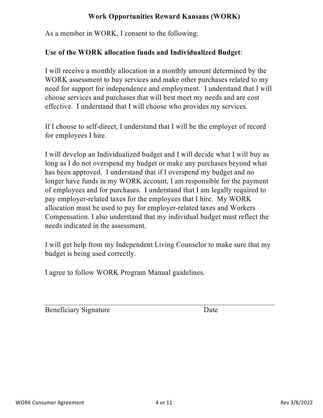As a member in WORK, I consent to the following:

#### **Use of the WORK allocation funds and Individualized Budget**:

I will receive a monthly allocation in a monthly amount determined by the WORK assessment to buy services and make other purchases related to my need for support for independence and employment. I understand that I will choose services and purchases that will best meet my needs and are cost effective. I understand that I will choose who provides my services.

If I choose to self-direct, I understand that I will be the employer of record for employees I hire.

I will develop an Individualized budget and I will decide what I will buy as long as I do not overspend my budget or make any purchases beyond what has been approved. I understand that if I overspend my budget and no longer have funds in my WORK account, I am responsible for the payment of employees and for purchases. I understand that I am legally required to pay employer-related taxes for the employees that I hire. My WORK allocation must be used to pay for employer-related taxes and Workers Compensation. I also understand that my individual budget must reflect the needs indicated in the assessment.

I will get help from my Independent Living Counselor to make sure that my budget is being used correctly.

I agree to follow WORK Program Manual guidelines.

Beneficiary Signature Date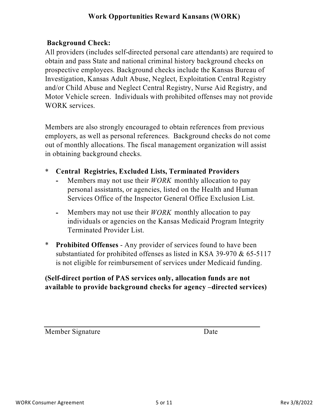#### **Background Check:**

All providers (includes self-directed personal care attendants) are required to obtain and pass State and national criminal history background checks on prospective employees. Background checks include the Kansas Bureau of Investigation, Kansas Adult Abuse, Neglect, Exploitation Central Registry and/or Child Abuse and Neglect Central Registry, Nurse Aid Registry, and Motor Vehicle screen. Individuals with prohibited offenses may not provide WORK services.

Members are also strongly encouraged to obtain references from previous employers, as well as personal references. Background checks do not come out of monthly allocations. The fiscal management organization will assist in obtaining background checks.

- \* **Central Registries, Excluded Lists, Terminated Providers** 
	- **-** Members may not use their *WORK* monthly allocation to pay personal assistants, or agencies, listed on the Health and Human Services Office of the Inspector General Office Exclusion List.
	- **-** Members may not use their *WORK* monthly allocation to pay individuals or agencies on the Kansas Medicaid Program Integrity Terminated Provider List.
- \* **Prohibited Offenses** - Any provider of services found to have been substantiated for prohibited offenses as listed in KSA 39-970 & 65-5117 is not eligible for reimbursement of services under Medicaid funding.

#### **(Self-direct portion of PAS services only, allocation funds are not available to provide background checks for agency –directed services)**

Member Signature Date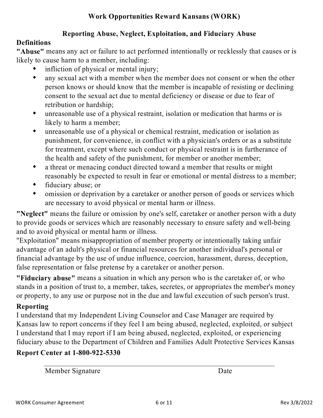#### **Reporting Abuse, Neglect, Exploitation, and Fiduciary Abuse**

#### **Definitions**

**"Abuse"** means any act or failure to act performed intentionally or recklessly that causes or is likely to cause harm to a member, including:

- $\bullet$ infliction of physical or mental injury;
- $\bullet$ any sexual act with a member when the member does not consent or when the other person knows or should know that the member is incapable of resisting or declining consent to the sexual act due to mental deficiency or disease or due to fear of retribution or hardship;
- $\bullet$ unreasonable use of a physical restraint, isolation or medication that harms or is likely to harm a member;
- $\bullet$ unreasonable use of a physical or chemical restraint, medication or isolation as punishment, for convenience, in conflict with a physician's orders or as a substitute for treatment, except where such conduct or physical restraint is in furtherance of the health and safety of the punishment, for member or another member;
- $\bullet$ a threat or menacing conduct directed toward a member that results or might reasonably be expected to result in fear or emotional or mental distress to a member;
- $\bullet$ fiduciary abuse; or
- $\blacklozenge$ omission or deprivation by a caretaker or another person of goods or services which are necessary to avoid physical or mental harm or illness.

**"Neglect"** means the failure or omission by one's self, caretaker or another person with a duty to provide goods or services which are reasonably necessary to ensure safety and well-being and to avoid physical or mental harm or illness.

"Exploitation" means misappropriation of member property or intentionally taking unfair advantage of an adult's physical or financial resources for another individual's personal or financial advantage by the use of undue influence, coercion, harassment, duress, deception, false representation or false pretense by a caretaker or another person.

**"Fiduciary abuse"** means a situation in which any person who is the caretaker of, or who stands in a position of trust to, a member, takes, secretes, or appropriates the member's money or property, to any use or purpose not in the due and lawful execution of such person's trust.

#### **Reporting**

I understand that my Independent Living Counselor and Case Manager are required by Kansas law to report concerns if they feel I am being abused, neglected, exploited, or subject I understand that I may report if I am being abused, neglected, exploited, or experiencing fiduciary abuse to the Department of Children and Families Adult Protective Services Kansas

## **Report Center at 1-800-922-5330**

Member Signature

Date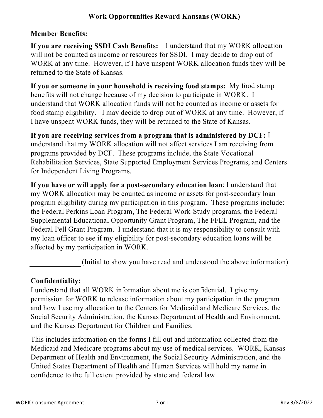#### **Member Benefits:**

**If you are receiving SSDI Cash Benefits:** I understand that my WORK allocation will not be counted as income or resources for SSDI. I may decide to drop out of WORK at any time. However, if I have unspent WORK allocation funds they will be returned to the State of Kansas.

**If you or someone in your household is receiving food stamps:** My food stamp benefits will not change because of my decision to participate in WORK. I understand that WORK allocation funds will not be counted as income or assets for food stamp eligibility. I may decide to drop out of WORK at any time. However, if I have unspent WORK funds, they will be returned to the State of Kansas.

**If you are receiving services from a program that is administered by DCF:** I understand that my WORK allocation will not affect services I am receiving from programs provided by DCF. These programs include, the State Vocational Rehabilitation Services, State Supported Employment Services Programs, and Centers for Independent Living Programs.

**If you have or will apply for a post-secondary education loan**: I understand that my WORK allocation may be counted as income or assets for post-secondary loan program eligibility during my participation in this program. These programs include: the Federal Perkins Loan Program, The Federal Work-Study programs, the Federal Supplemental Educational Opportunity Grant Program, The FFEL Program, and the Federal Pell Grant Program. I understand that it is my responsibility to consult with my loan officer to see if my eligibility for post-secondary education loans will be affected by my participation in WORK.

(Initial to show you have read and understood the above information)

#### **Confidentiality:**

I understand that all WORK information about me is confidential. I give my permission for WORK to release information about my participation in the program and how I use my allocation to the Centers for Medicaid and Medicare Services, the Social Security Administration, the Kansas Department of Health and Environment, and the Kansas Department for Children and Families.

This includes information on the forms I fill out and information collected from the Medicaid and Medicare programs about my use of medical services. WORK, Kansas Department of Health and Environment, the Social Security Administration, and the United States Department of Health and Human Services will hold my name in confidence to the full extent provided by state and federal law.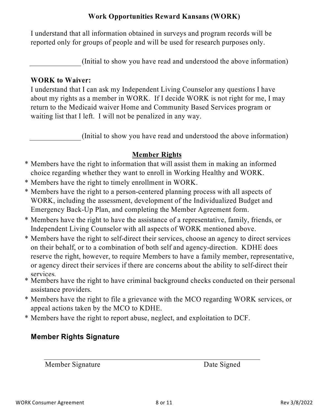I understand that all information obtained in surveys and program records will be reported only for groups of people and will be used for research purposes only.

(Initial to show you have read and understood the above information)

#### **WORK to Waiver:**

I understand that I can ask my Independent Living Counselor any questions I have about my rights as a member in WORK. If I decide WORK is not right for me, I may return to the Medicaid waiver Home and Community Based Services program or waiting list that I left. I will not be penalized in any way.

(Initial to show you have read and understood the above information)

#### **Member Rights**

- \* Members have the right to information that will assist them in making an informed choice regarding whether they want to enroll in Working Healthy and WORK.
- \* Members have the right to timely enrollment in WORK.
- \* Members have the right to a person-centered planning process with all aspects of WORK, including the assessment, development of the Individualized Budget and Emergency Back-Up Plan, and completing the Member Agreement form.
- \* Members have the right to have the assistance of a representative, family, friends, or Independent Living Counselor with all aspects of WORK mentioned above.
- \* Members have the right to self-direct their services, choose an agency to direct services on their behalf, or to a combination of both self and agency-direction. KDHE does reserve the right, however, to require Members to have a family member, representative, or agency direct their services if there are concerns about the ability to self-direct their services.
- \* Members have the right to have criminal background checks conducted on their personal assistance providers.
- \* Members have the right to file a grievance with the MCO regarding WORK services, or appeal actions taken by the MCO to KDHE.
- \* Members have the right to report abuse, neglect, and exploitation to DCF.

#### **Member Rights Signature**

Member Signature Date Signed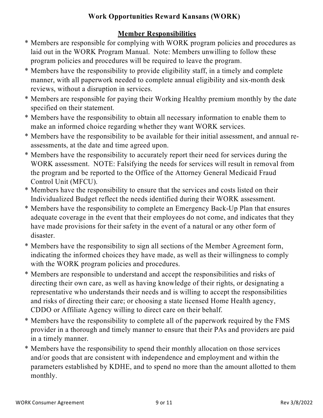## **Member Responsibilities**

- \* Members are responsible for complying with WORK program policies and procedures as laid out in the WORK Program Manual. Note: Members unwilling to follow these program policies and procedures will be required to leave the program.
- \* Members have the responsibility to provide eligibility staff, in a timely and complete manner, with all paperwork needed to complete annual eligibility and six-month desk reviews, without a disruption in services.
- \* Members are responsible for paying their Working Healthy premium monthly by the date specified on their statement.
- \* Members have the responsibility to obtain all necessary information to enable them to make an informed choice regarding whether they want WORK services.
- \* Members have the responsibility to be available for their initial assessment, and annual reassessments, at the date and time agreed upon.
- \* Members have the responsibility to accurately report their need for services during the WORK assessment. NOTE: Falsifying the needs for services will result in removal from the program and be reported to the Office of the Attorney General Medicaid Fraud Control Unit (MFCU).
- \* Members have the responsibility to ensure that the services and costs listed on their Individualized Budget reflect the needs identified during their WORK assessment.
- \* Members have the responsibility to complete an Emergency Back-Up Plan that ensures adequate coverage in the event that their employees do not come, and indicates that they have made provisions for their safety in the event of a natural or any other form of disaster.
- \* Members have the responsibility to sign all sections of the Member Agreement form, indicating the informed choices they have made, as well as their willingness to comply with the WORK program policies and procedures.
- \* Members are responsible to understand and accept the responsibilities and risks of directing their own care, as well as having knowledge of their rights, or designating a representative who understands their needs and is willing to accept the responsibilities and risks of directing their care; or choosing a state licensed Home Health agency, CDDO or Affiliate Agency willing to direct care on their behalf.
- \* Members have the responsibility to complete all of the paperwork required by the FMS provider in a thorough and timely manner to ensure that their PAs and providers are paid in a timely manner.
- \* Members have the responsibility to spend their monthly allocation on those services and/or goods that are consistent with independence and employment and within the parameters established by KDHE, and to spend no more than the amount allotted to them monthly.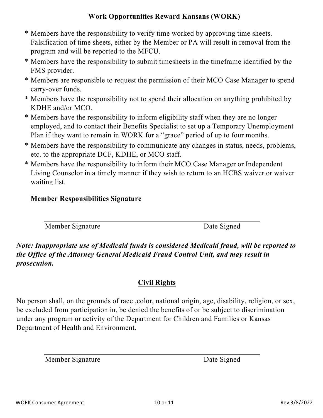- \* Members have the responsibility to verify time worked by approving time sheets. Falsification of time sheets, either by the Member or PA will result in removal from the program and will be reported to the MFCU.
- \* Members have the responsibility to submit timesheets in the timeframe identified by the FMS provider.
- \* Members are responsible to request the permission of their MCO Case Manager to spend carry-over funds.
- \* Members have the responsibility not to spend their allocation on anything prohibited by KDHE and/or MCO.
- \* Members have the responsibility to inform eligibility staff when they are no longer employed, and to contact their Benefits Specialist to set up a Temporary Unemployment Plan if they want to remain in WORK for a "grace" period of up to four months.
- \* Members have the responsibility to communicate any changes in status, needs, problems, etc. to the appropriate DCF, KDHE, or MCO staff.
- \* Members have the responsibility to inform their MCO Case Manager or Independent Living Counselor in a timely manner if they wish to return to an HCBS waiver or waiver waiting list.

## **Member Responsibilities Signature**

Member Signature Date Signed

*Note: Inappropriate use of Medicaid funds is considered Medicaid fraud, will be reported to the Office of the Attorney General Medicaid Fraud Control Unit, and may result in prosecution.*

## **Civil Rights**

No person shall, on the grounds of race ,color, national origin, age, disability, religion, or sex, be excluded from participation in, be denied the benefits of or be subject to discrimination under any program or activity of the Department for Children and Families or Kansas Department of Health and Environment.

Member Signature Date Signed